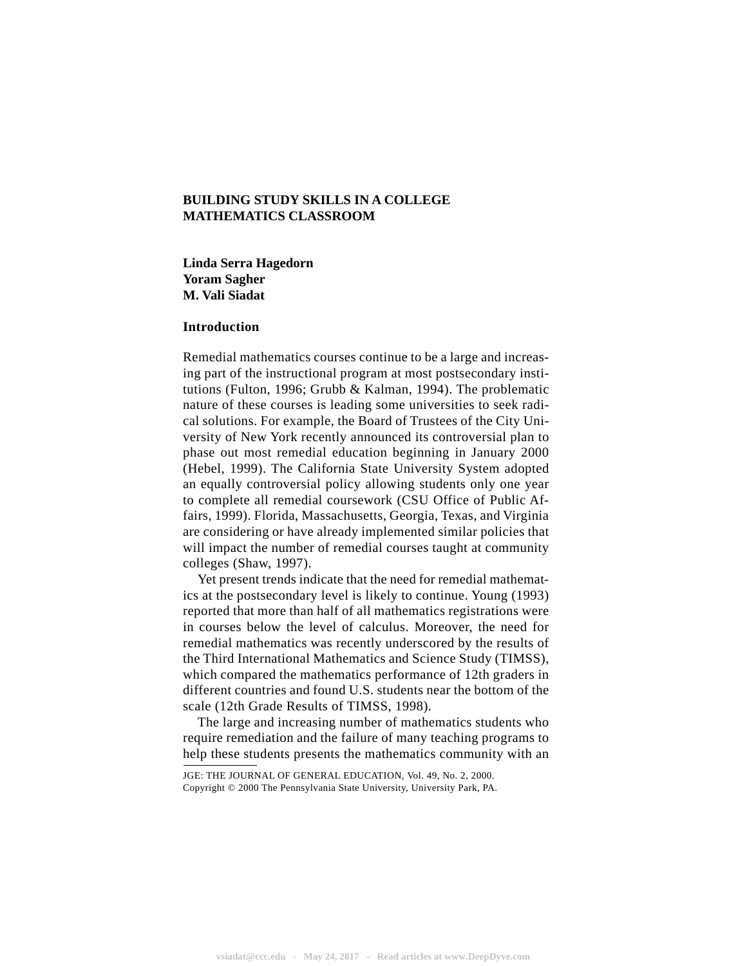# **BUILDING STUDY SKILLS IN A COLLEGE MATHEMATICS CLASSROOM**

**Linda Serra Hagedorn Yoram Sagher M. Vali Siadat**

## **Introduction**

Remedial mathematics courses continue to be a large and increasing part of the instructional program at most postsecondary institutions (Fulton, 1996; Grubb & Kalman, 1994). The problematic nature of these courses is leading some universities to seek radical solutions. For example, the Board of Trustees of the City University of New York recently announced its controversial plan to phase out most remedial education beginning in January 2000 (Hebel, 1999). The California State University System adopted an equally controversial policy allowing students only one year to complete all remedial coursework (CSU Office of Public Affairs, 1999). Florida, Massachusetts, Georgia, Texas, and Virginia are considering or have already implemented similar policies that will impact the number of remedial courses taught at community colleges (Shaw, 1997).

Yet present trends indicate that the need for remedial mathematics at the postsecondary level is likely to continue. Young (1993) reported that more than half of all mathematics registrations were in courses below the level of calculus. Moreover, the need for remedial mathematics was recently underscored by the results of the Third International Mathematics and Science Study (TIMSS), which compared the mathematics performance of 12th graders in different countries and found U.S. students near the bottom of the scale (12th Grade Results of TIMSS, 1998).

The large and increasing number of mathematics students who require remediation and the failure of many teaching programs to help these students presents the mathematics community with an

JGE: THE JOURNAL OF GENERAL EDUCATION, Vol. 49, No. 2, 2000.

Copyright © 2000 The Pennsylvania State University, University Park, PA.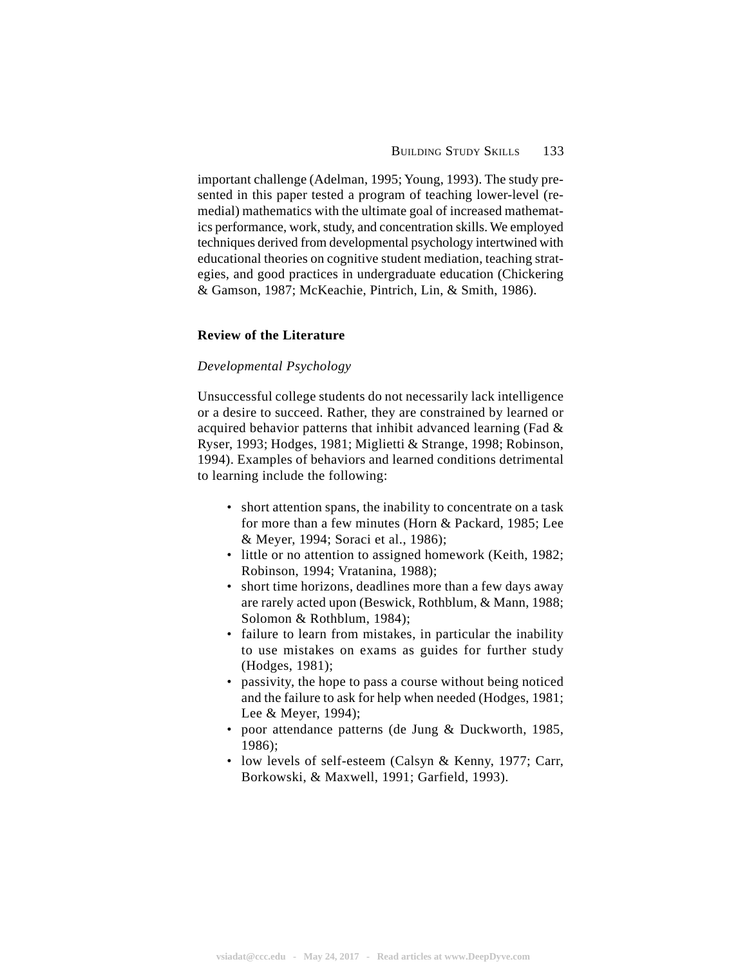important challenge (Adelman, 1995; Young, 1993). The study presented in this paper tested a program of teaching lower-level (remedial) mathematics with the ultimate goal of increased mathematics performance, work, study, and concentration skills. We employed techniques derived from developmental psychology intertwined with educational theories on cognitive student mediation, teaching strategies, and good practices in undergraduate education (Chickering & Gamson, 1987; McKeachie, Pintrich, Lin, & Smith, 1986).

# **Review of the Literature**

### *Developmental Psychology*

Unsuccessful college students do not necessarily lack intelligence or a desire to succeed. Rather, they are constrained by learned or acquired behavior patterns that inhibit advanced learning (Fad & Ryser, 1993; Hodges, 1981; Miglietti & Strange, 1998; Robinson, 1994). Examples of behaviors and learned conditions detrimental to learning include the following:

- short attention spans, the inability to concentrate on a task for more than a few minutes (Horn & Packard, 1985; Lee & Meyer, 1994; Soraci et al., 1986);
- little or no attention to assigned homework (Keith, 1982; Robinson, 1994; Vratanina, 1988);
- short time horizons, deadlines more than a few days away are rarely acted upon (Beswick, Rothblum, & Mann, 1988; Solomon & Rothblum, 1984);
- failure to learn from mistakes, in particular the inability to use mistakes on exams as guides for further study (Hodges, 1981);
- passivity, the hope to pass a course without being noticed and the failure to ask for help when needed (Hodges, 1981; Lee & Meyer, 1994);
- poor attendance patterns (de Jung & Duckworth, 1985, 1986);
- low levels of self-esteem (Calsyn & Kenny, 1977; Carr, Borkowski, & Maxwell, 1991; Garfield, 1993).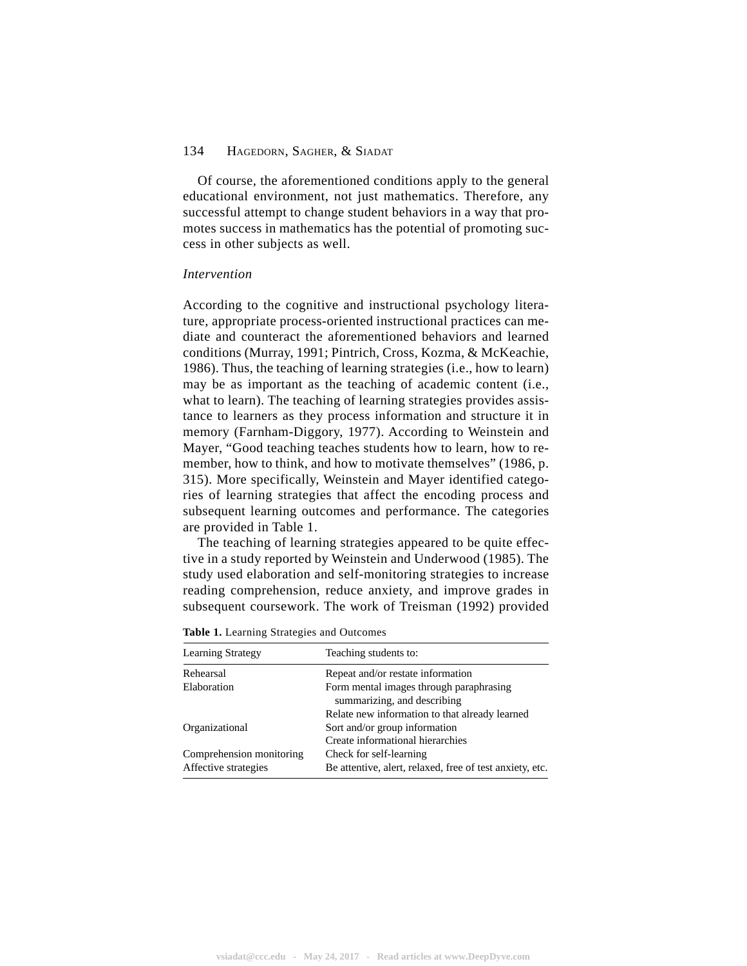Of course, the aforementioned conditions apply to the general educational environment, not just mathematics. Therefore, any successful attempt to change student behaviors in a way that promotes success in mathematics has the potential of promoting success in other subjects as well.

## *Intervention*

According to the cognitive and instructional psychology literature, appropriate process-oriented instructional practices can mediate and counteract the aforementioned behaviors and learned conditions (Murray, 1991; Pintrich, Cross, Kozma, & McKeachie, 1986). Thus, the teaching of learning strategies (i.e., how to learn) may be as important as the teaching of academic content (i.e., what to learn). The teaching of learning strategies provides assistance to learners as they process information and structure it in memory (Farnham-Diggory, 1977). According to Weinstein and Mayer, "Good teaching teaches students how to learn, how to remember, how to think, and how to motivate themselves" (1986, p. 315). More specifically, Weinstein and Mayer identified categories of learning strategies that affect the encoding process and subsequent learning outcomes and performance. The categories are provided in Table 1.

The teaching of learning strategies appeared to be quite effective in a study reported by Weinstein and Underwood (1985). The study used elaboration and self-monitoring strategies to increase reading comprehension, reduce anxiety, and improve grades in subsequent coursework. The work of Treisman (1992) provided

| <b>Learning Strategy</b> | Teaching students to:                                    |
|--------------------------|----------------------------------------------------------|
| Rehearsal                | Repeat and/or restate information                        |
| Elaboration              | Form mental images through paraphrasing                  |
|                          | summarizing, and describing                              |
|                          | Relate new information to that already learned           |
| Organizational           | Sort and/or group information                            |
|                          | Create informational hierarchies                         |
| Comprehension monitoring | Check for self-learning                                  |
| Affective strategies     | Be attentive, alert, relaxed, free of test anxiety, etc. |

**Table 1.** Learning Strategies and Outcomes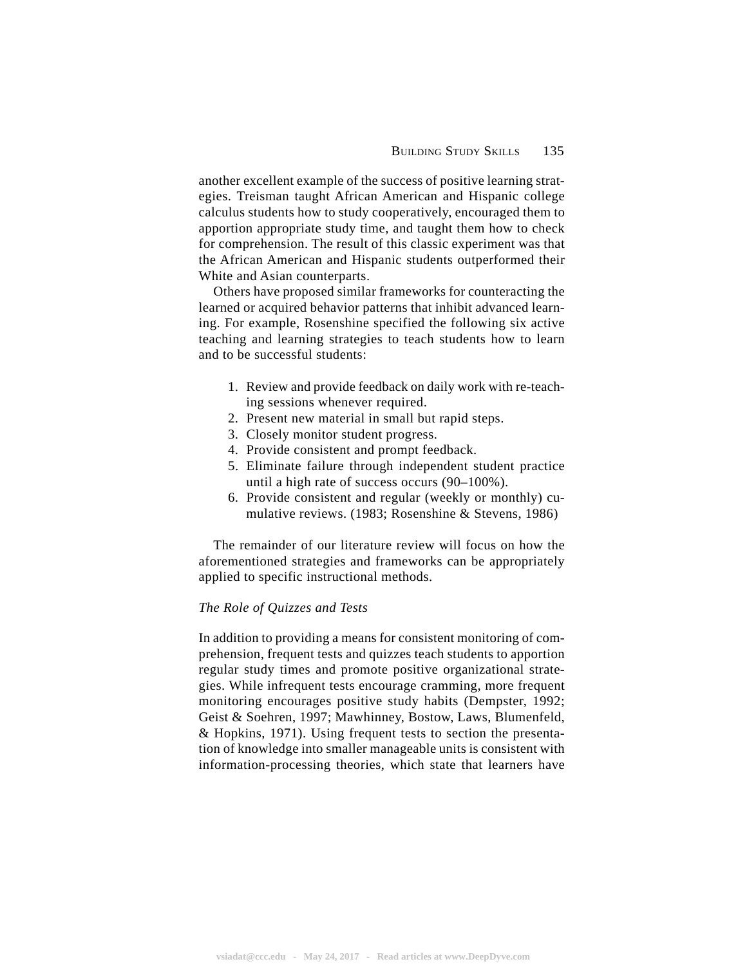another excellent example of the success of positive learning strategies. Treisman taught African American and Hispanic college calculus students how to study cooperatively, encouraged them to apportion appropriate study time, and taught them how to check for comprehension. The result of this classic experiment was that the African American and Hispanic students outperformed their White and Asian counterparts.

Others have proposed similar frameworks for counteracting the learned or acquired behavior patterns that inhibit advanced learning. For example, Rosenshine specified the following six active teaching and learning strategies to teach students how to learn and to be successful students:

- 1. Review and provide feedback on daily work with re-teaching sessions whenever required.
- 2. Present new material in small but rapid steps.
- 3. Closely monitor student progress.
- 4. Provide consistent and prompt feedback.
- 5. Eliminate failure through independent student practice until a high rate of success occurs (90–100%).
- 6. Provide consistent and regular (weekly or monthly) cumulative reviews. (1983; Rosenshine & Stevens, 1986)

The remainder of our literature review will focus on how the aforementioned strategies and frameworks can be appropriately applied to specific instructional methods.

## *The Role of Quizzes and Tests*

In addition to providing a means for consistent monitoring of comprehension, frequent tests and quizzes teach students to apportion regular study times and promote positive organizational strategies. While infrequent tests encourage cramming, more frequent monitoring encourages positive study habits (Dempster, 1992; Geist & Soehren, 1997; Mawhinney, Bostow, Laws, Blumenfeld, & Hopkins, 1971). Using frequent tests to section the presentation of knowledge into smaller manageable units is consistent with information-processing theories, which state that learners have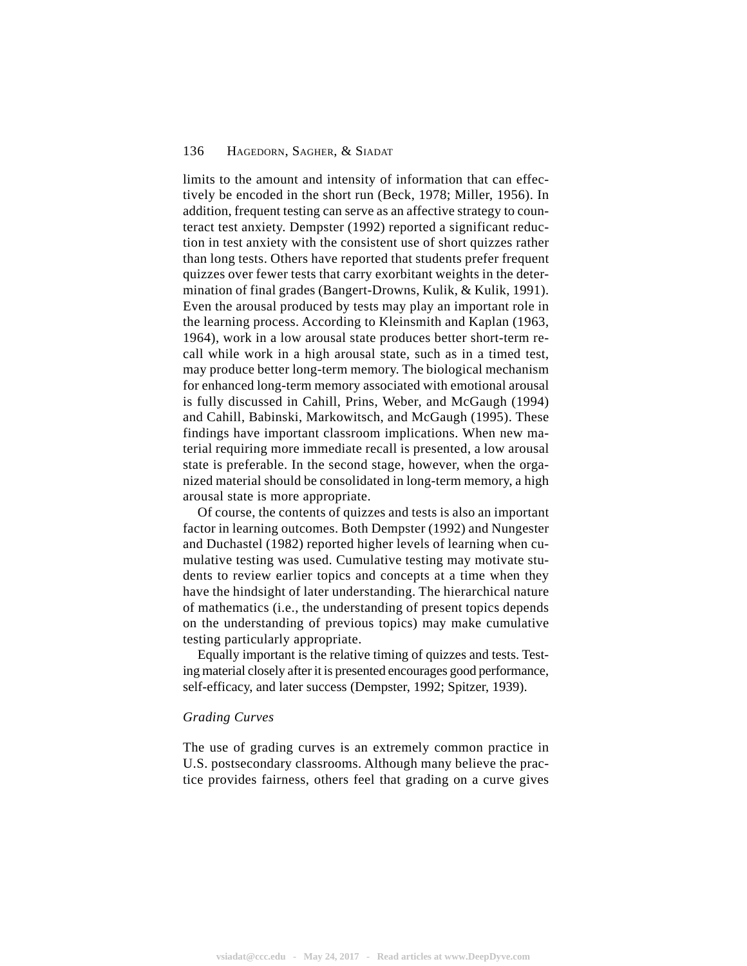limits to the amount and intensity of information that can effectively be encoded in the short run (Beck, 1978; Miller, 1956). In addition, frequent testing can serve as an affective strategy to counteract test anxiety. Dempster (1992) reported a significant reduction in test anxiety with the consistent use of short quizzes rather than long tests. Others have reported that students prefer frequent quizzes over fewer tests that carry exorbitant weights in the determination of final grades (Bangert-Drowns, Kulik, & Kulik, 1991). Even the arousal produced by tests may play an important role in the learning process. According to Kleinsmith and Kaplan (1963, 1964), work in a low arousal state produces better short-term recall while work in a high arousal state, such as in a timed test, may produce better long-term memory. The biological mechanism for enhanced long-term memory associated with emotional arousal is fully discussed in Cahill, Prins, Weber, and McGaugh (1994) and Cahill, Babinski, Markowitsch, and McGaugh (1995). These findings have important classroom implications. When new material requiring more immediate recall is presented, a low arousal state is preferable. In the second stage, however, when the organized material should be consolidated in long-term memory, a high arousal state is more appropriate.

Of course, the contents of quizzes and tests is also an important factor in learning outcomes. Both Dempster (1992) and Nungester and Duchastel (1982) reported higher levels of learning when cumulative testing was used. Cumulative testing may motivate students to review earlier topics and concepts at a time when they have the hindsight of later understanding. The hierarchical nature of mathematics (i.e., the understanding of present topics depends on the understanding of previous topics) may make cumulative testing particularly appropriate.

Equally important is the relative timing of quizzes and tests. Testing material closely after it is presented encourages good performance, self-efficacy, and later success (Dempster, 1992; Spitzer, 1939).

#### *Grading Curves*

The use of grading curves is an extremely common practice in U.S. postsecondary classrooms. Although many believe the practice provides fairness, others feel that grading on a curve gives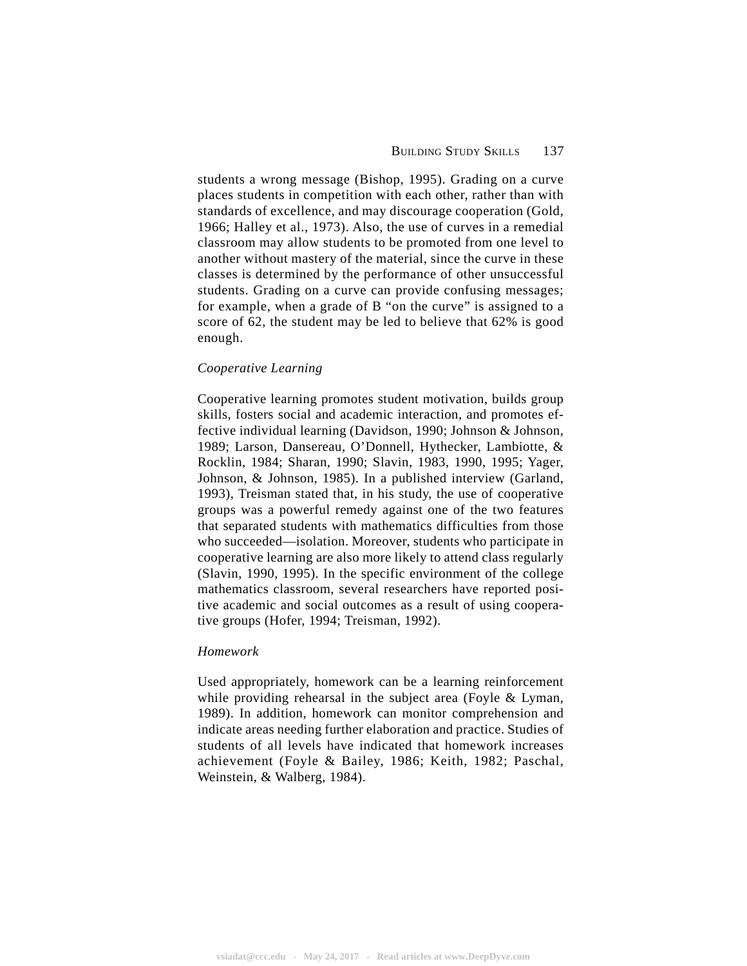students a wrong message (Bishop, 1995). Grading on a curve places students in competition with each other, rather than with standards of excellence, and may discourage cooperation (Gold, 1966; Halley et al., 1973). Also, the use of curves in a remedial classroom may allow students to be promoted from one level to another without mastery of the material, since the curve in these classes is determined by the performance of other unsuccessful students. Grading on a curve can provide confusing messages; for example, when a grade of B "on the curve" is assigned to a score of 62, the student may be led to believe that 62% is good enough.

# *Cooperative Learning*

Cooperative learning promotes student motivation, builds group skills, fosters social and academic interaction, and promotes effective individual learning (Davidson, 1990; Johnson & Johnson, 1989; Larson, Dansereau, O'Donnell, Hythecker, Lambiotte, & Rocklin, 1984; Sharan, 1990; Slavin, 1983, 1990, 1995; Yager, Johnson, & Johnson, 1985). In a published interview (Garland, 1993), Treisman stated that, in his study, the use of cooperative groups was a powerful remedy against one of the two features that separated students with mathematics difficulties from those who succeeded—isolation. Moreover, students who participate in cooperative learning are also more likely to attend class regularly (Slavin, 1990, 1995). In the specific environment of the college mathematics classroom, several researchers have reported positive academic and social outcomes as a result of using cooperative groups (Hofer, 1994; Treisman, 1992).

## *Homework*

Used appropriately, homework can be a learning reinforcement while providing rehearsal in the subject area (Foyle & Lyman, 1989). In addition, homework can monitor comprehension and indicate areas needing further elaboration and practice. Studies of students of all levels have indicated that homework increases achievement (Foyle & Bailey, 1986; Keith, 1982; Paschal, Weinstein, & Walberg, 1984).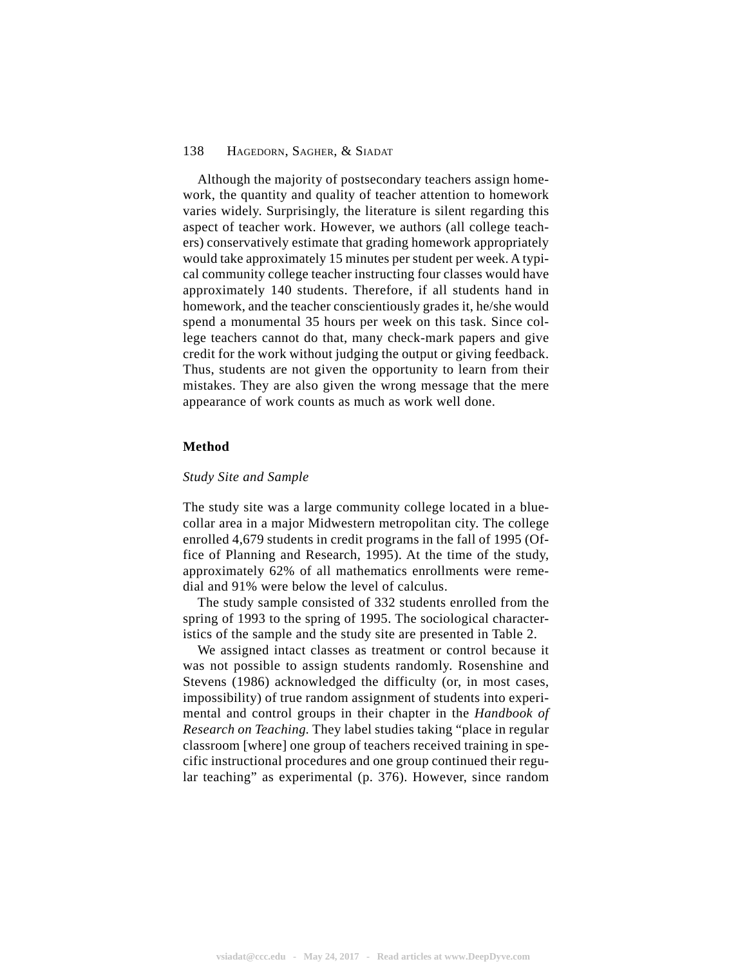Although the majority of postsecondary teachers assign homework, the quantity and quality of teacher attention to homework varies widely. Surprisingly, the literature is silent regarding this aspect of teacher work. However, we authors (all college teachers) conservatively estimate that grading homework appropriately would take approximately 15 minutes per student per week. A typical community college teacher instructing four classes would have approximately 140 students. Therefore, if all students hand in homework, and the teacher conscientiously grades it, he/she would spend a monumental 35 hours per week on this task. Since college teachers cannot do that, many check-mark papers and give credit for the work without judging the output or giving feedback. Thus, students are not given the opportunity to learn from their mistakes. They are also given the wrong message that the mere appearance of work counts as much as work well done.

## **Method**

## *Study Site and Sample*

The study site was a large community college located in a bluecollar area in a major Midwestern metropolitan city. The college enrolled 4,679 students in credit programs in the fall of 1995 (Office of Planning and Research, 1995). At the time of the study, approximately 62% of all mathematics enrollments were remedial and 91% were below the level of calculus.

The study sample consisted of 332 students enrolled from the spring of 1993 to the spring of 1995. The sociological characteristics of the sample and the study site are presented in Table 2.

We assigned intact classes as treatment or control because it was not possible to assign students randomly. Rosenshine and Stevens (1986) acknowledged the difficulty (or, in most cases, impossibility) of true random assignment of students into experimental and control groups in their chapter in the *Handbook of Research on Teaching.* They label studies taking "place in regular classroom [where] one group of teachers received training in specific instructional procedures and one group continued their regular teaching" as experimental (p. 376). However, since random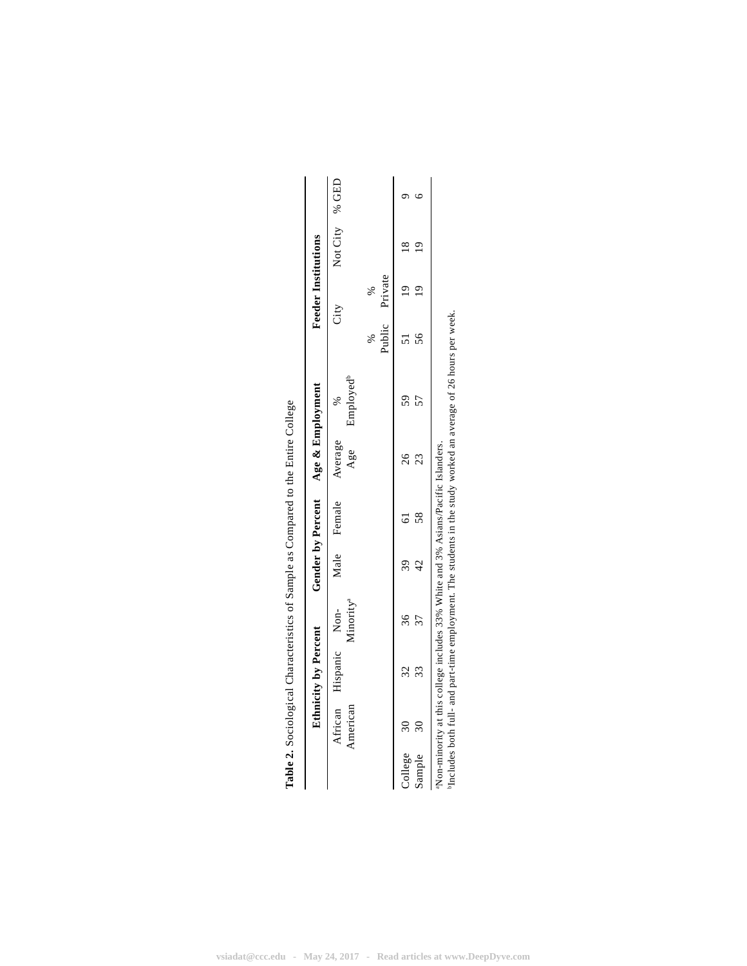|         |                                                                                   | Ethnicity by Percent  |                       |               | Gender by Percent Age & Employment |                                                                                                                              |    | <b>Feeder Institutions</b> |                |  |
|---------|-----------------------------------------------------------------------------------|-----------------------|-----------------------|---------------|------------------------------------|------------------------------------------------------------------------------------------------------------------------------|----|----------------------------|----------------|--|
|         |                                                                                   |                       |                       |               |                                    |                                                                                                                              |    |                            |                |  |
|         | American                                                                          | African Hispanic Non- | Minority <sup>a</sup> |               | Male Female Average                | Age Employed <sup>b</sup>                                                                                                    |    | City                       | Not City % GED |  |
|         |                                                                                   |                       |                       |               |                                    |                                                                                                                              |    | %                          |                |  |
|         |                                                                                   |                       |                       |               |                                    |                                                                                                                              |    | Public Private             |                |  |
| College |                                                                                   |                       |                       |               | 26                                 |                                                                                                                              |    |                            |                |  |
| Sample  |                                                                                   | 33                    |                       | $\frac{8}{5}$ | 23                                 |                                                                                                                              | Šκ |                            | $\frac{1}{2}$  |  |
|         | "Non-minority at this college includes 33% White and 3% Asians/Pacific Islanders. |                       |                       |               |                                    |                                                                                                                              |    |                            |                |  |
|         |                                                                                   |                       |                       |               |                                    | <sup>1</sup> Includes both full- and part-time employment. The students in the study worked an average of 26 hours per week. |    |                            |                |  |

Table 2. Sociological Characteristics of Sample as Compared to the Entire College **Table 2.** Sociological Characteristics of Sample as Compared to the Entire College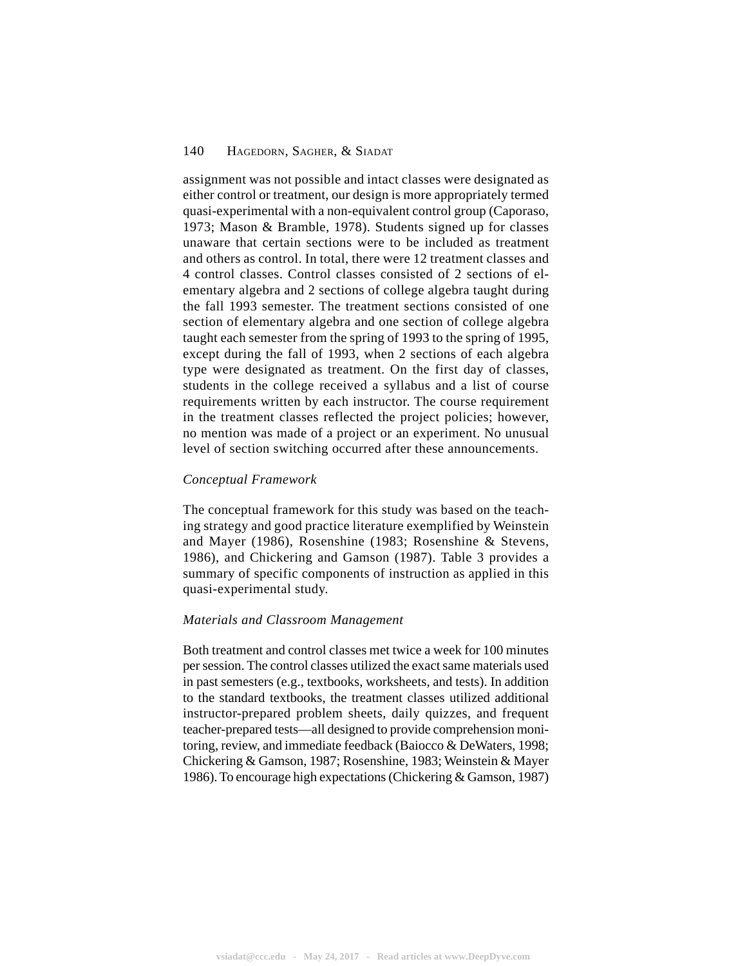assignment was not possible and intact classes were designated as either control or treatment, our design is more appropriately termed quasi-experimental with a non-equivalent control group (Caporaso, 1973; Mason & Bramble, 1978). Students signed up for classes unaware that certain sections were to be included as treatment and others as control. In total, there were 12 treatment classes and 4 control classes. Control classes consisted of 2 sections of elementary algebra and 2 sections of college algebra taught during the fall 1993 semester. The treatment sections consisted of one section of elementary algebra and one section of college algebra taught each semester from the spring of 1993 to the spring of 1995, except during the fall of 1993, when 2 sections of each algebra type were designated as treatment. On the first day of classes, students in the college received a syllabus and a list of course requirements written by each instructor. The course requirement in the treatment classes reflected the project policies; however, no mention was made of a project or an experiment. No unusual level of section switching occurred after these announcements.

## *Conceptual Framework*

The conceptual framework for this study was based on the teaching strategy and good practice literature exemplified by Weinstein and Mayer (1986), Rosenshine (1983; Rosenshine & Stevens, 1986), and Chickering and Gamson (1987). Table 3 provides a summary of specific components of instruction as applied in this quasi-experimental study.

# *Materials and Classroom Management*

Both treatment and control classes met twice a week for 100 minutes per session. The control classes utilized the exact same materials used in past semesters (e.g., textbooks, worksheets, and tests). In addition to the standard textbooks, the treatment classes utilized additional instructor-prepared problem sheets, daily quizzes, and frequent teacher-prepared tests—all designed to provide comprehension monitoring, review, and immediate feedback (Baiocco & DeWaters, 1998; Chickering & Gamson, 1987; Rosenshine, 1983; Weinstein & Mayer 1986). To encourage high expectations (Chickering & Gamson, 1987)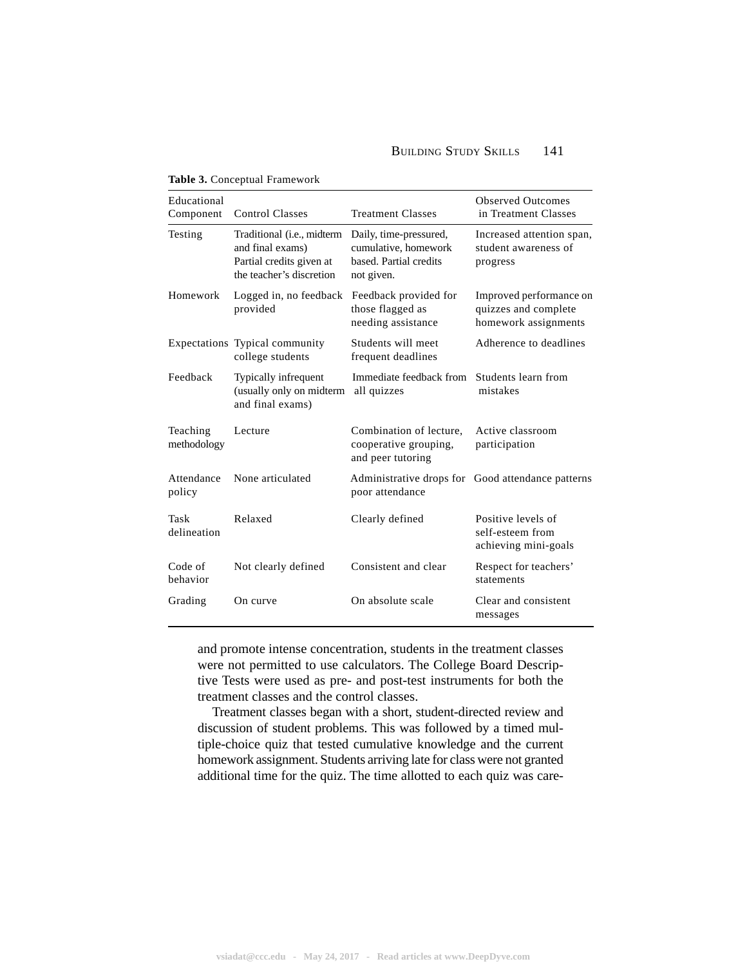| Educational<br>Component | <b>Control Classes</b>                                                                                 | <b>Treatment Classes</b>                                                               | <b>Observed Outcomes</b><br>in Treatment Classes                        |
|--------------------------|--------------------------------------------------------------------------------------------------------|----------------------------------------------------------------------------------------|-------------------------------------------------------------------------|
| Testing                  | Traditional (i.e., midterm<br>and final exams)<br>Partial credits given at<br>the teacher's discretion | Daily, time-pressured,<br>cumulative, homework<br>based. Partial credits<br>not given. | Increased attention span,<br>student awareness of<br>progress           |
| Homework                 | Logged in, no feedback<br>provided                                                                     | Feedback provided for<br>those flagged as<br>needing assistance                        | Improved performance on<br>quizzes and complete<br>homework assignments |
|                          | Expectations Typical community<br>college students                                                     | Students will meet<br>frequent deadlines                                               | Adherence to deadlines                                                  |
| Feedback                 | Typically infrequent<br>(usually only on midterm<br>and final exams)                                   | Immediate feedback from<br>all quizzes                                                 | Students learn from<br>mistakes                                         |
| Teaching<br>methodology  | Lecture                                                                                                | Combination of lecture.<br>cooperative grouping,<br>and peer tutoring                  | Active classroom<br>participation                                       |
| Attendance<br>policy     | None articulated                                                                                       | poor attendance                                                                        | Administrative drops for Good attendance patterns                       |
| Task<br>delineation      | Relaxed                                                                                                | Clearly defined                                                                        | Positive levels of<br>self-esteem from<br>achieving mini-goals          |
| Code of<br>behavior      | Not clearly defined                                                                                    | Consistent and clear                                                                   | Respect for teachers'<br>statements                                     |
| Grading                  | On curve                                                                                               | On absolute scale                                                                      | Clear and consistent<br>messages                                        |

**Table 3.** Conceptual Framework

and promote intense concentration, students in the treatment classes were not permitted to use calculators. The College Board Descriptive Tests were used as pre- and post-test instruments for both the treatment classes and the control classes.

Treatment classes began with a short, student-directed review and discussion of student problems. This was followed by a timed multiple-choice quiz that tested cumulative knowledge and the current homework assignment. Students arriving late for class were not granted additional time for the quiz. The time allotted to each quiz was care-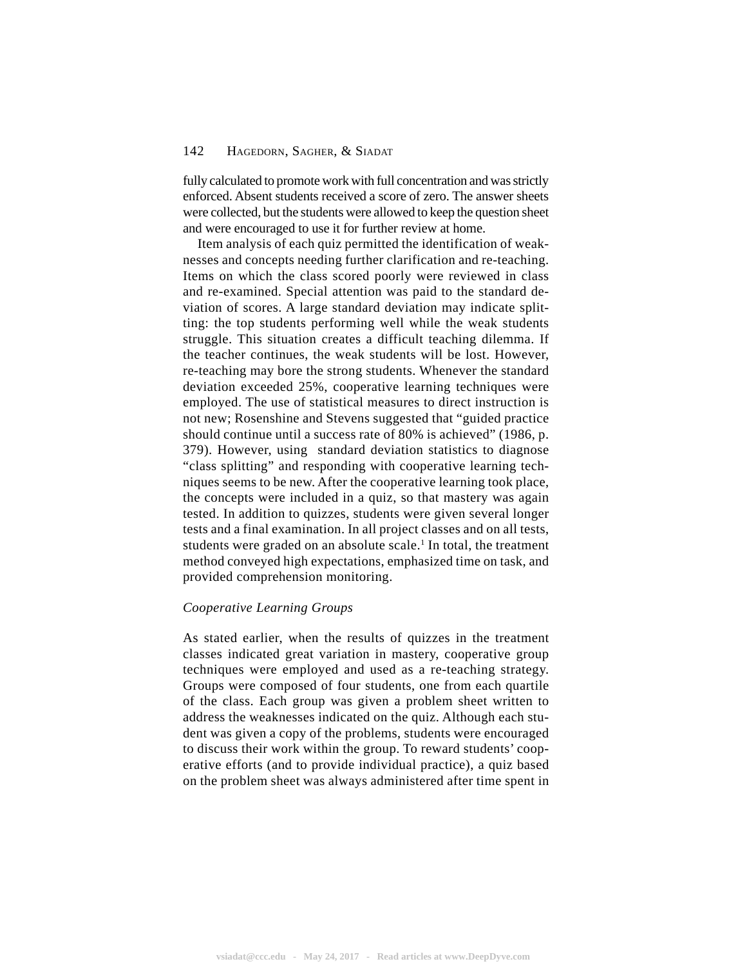fully calculated to promote work with full concentration and was strictly enforced. Absent students received a score of zero. The answer sheets were collected, but the students were allowed to keep the question sheet and were encouraged to use it for further review at home.

Item analysis of each quiz permitted the identification of weaknesses and concepts needing further clarification and re-teaching. Items on which the class scored poorly were reviewed in class and re-examined. Special attention was paid to the standard deviation of scores. A large standard deviation may indicate splitting: the top students performing well while the weak students struggle. This situation creates a difficult teaching dilemma. If the teacher continues, the weak students will be lost. However, re-teaching may bore the strong students. Whenever the standard deviation exceeded 25%, cooperative learning techniques were employed. The use of statistical measures to direct instruction is not new; Rosenshine and Stevens suggested that "guided practice should continue until a success rate of 80% is achieved" (1986, p. 379). However, using standard deviation statistics to diagnose "class splitting" and responding with cooperative learning techniques seems to be new. After the cooperative learning took place, the concepts were included in a quiz, so that mastery was again tested. In addition to quizzes, students were given several longer tests and a final examination. In all project classes and on all tests, students were graded on an absolute scale.<sup>1</sup> In total, the treatment method conveyed high expectations, emphasized time on task, and provided comprehension monitoring.

## *Cooperative Learning Groups*

As stated earlier, when the results of quizzes in the treatment classes indicated great variation in mastery, cooperative group techniques were employed and used as a re-teaching strategy. Groups were composed of four students, one from each quartile of the class. Each group was given a problem sheet written to address the weaknesses indicated on the quiz. Although each student was given a copy of the problems, students were encouraged to discuss their work within the group. To reward students' cooperative efforts (and to provide individual practice), a quiz based on the problem sheet was always administered after time spent in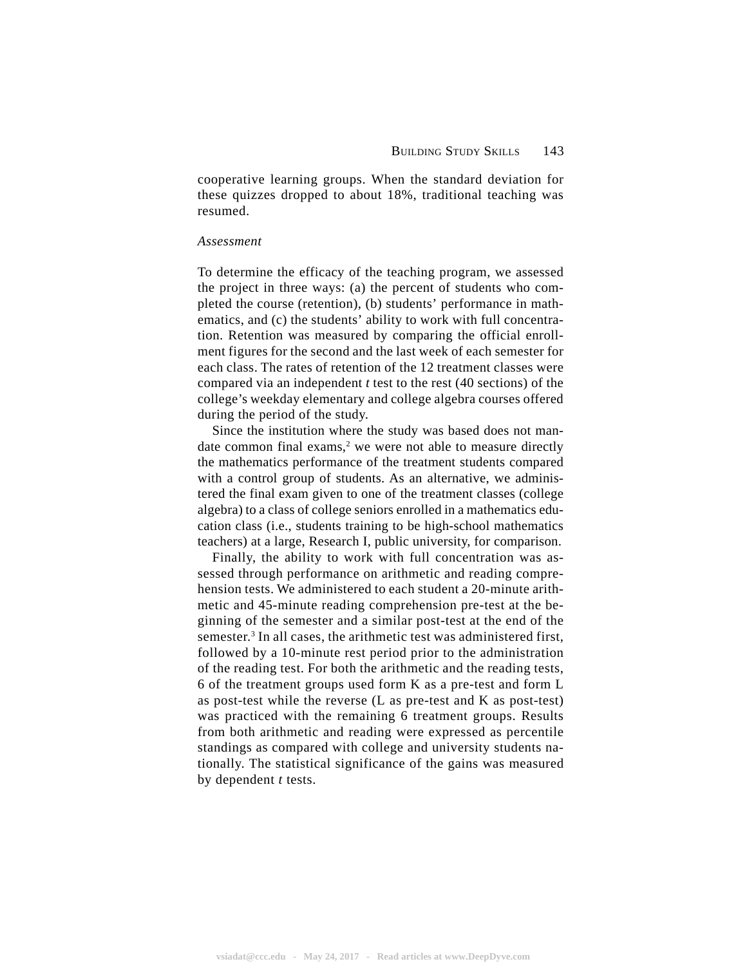cooperative learning groups. When the standard deviation for these quizzes dropped to about 18%, traditional teaching was resumed.

# *Assessment*

To determine the efficacy of the teaching program, we assessed the project in three ways: (a) the percent of students who completed the course (retention), (b) students' performance in mathematics, and (c) the students' ability to work with full concentration. Retention was measured by comparing the official enrollment figures for the second and the last week of each semester for each class. The rates of retention of the 12 treatment classes were compared via an independent *t* test to the rest (40 sections) of the college's weekday elementary and college algebra courses offered during the period of the study.

Since the institution where the study was based does not mandate common final exams,<sup>2</sup> we were not able to measure directly the mathematics performance of the treatment students compared with a control group of students. As an alternative, we administered the final exam given to one of the treatment classes (college algebra) to a class of college seniors enrolled in a mathematics education class (i.e., students training to be high-school mathematics teachers) at a large, Research I, public university, for comparison.

Finally, the ability to work with full concentration was assessed through performance on arithmetic and reading comprehension tests. We administered to each student a 20-minute arithmetic and 45-minute reading comprehension pre-test at the beginning of the semester and a similar post-test at the end of the semester.<sup>3</sup> In all cases, the arithmetic test was administered first, followed by a 10-minute rest period prior to the administration of the reading test. For both the arithmetic and the reading tests, 6 of the treatment groups used form K as a pre-test and form L as post-test while the reverse (L as pre-test and K as post-test) was practiced with the remaining 6 treatment groups. Results from both arithmetic and reading were expressed as percentile standings as compared with college and university students nationally. The statistical significance of the gains was measured by dependent *t* tests.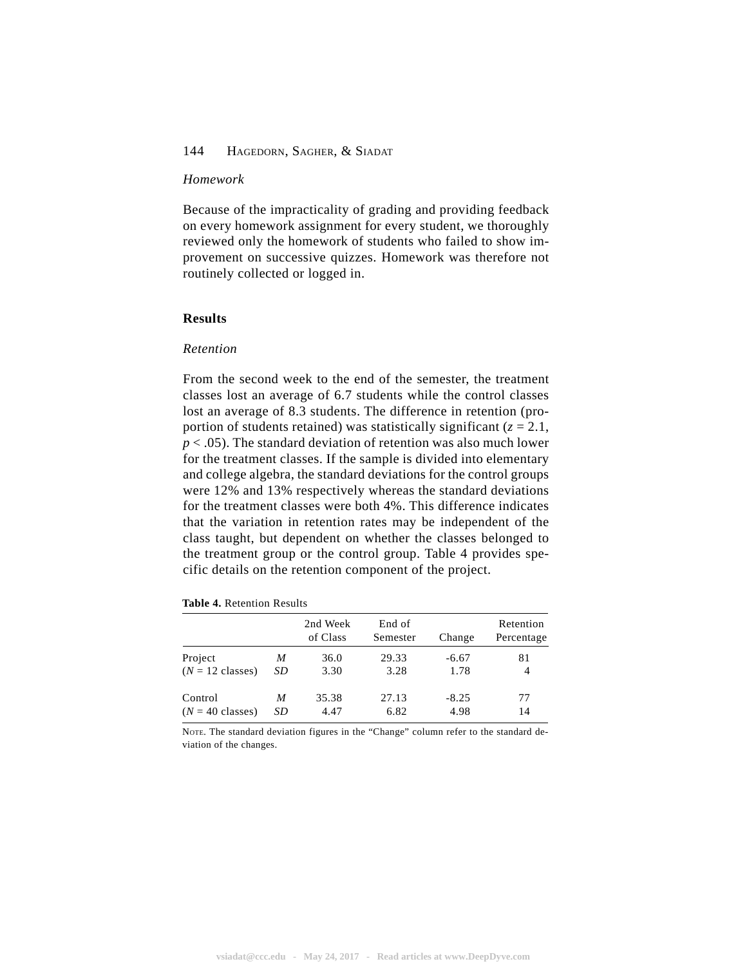## *Homework*

Because of the impracticality of grading and providing feedback on every homework assignment for every student, we thoroughly reviewed only the homework of students who failed to show improvement on successive quizzes. Homework was therefore not routinely collected or logged in.

## **Results**

# *Retention*

From the second week to the end of the semester, the treatment classes lost an average of 6.7 students while the control classes lost an average of 8.3 students. The difference in retention (proportion of students retained) was statistically significant  $(z = 2.1$ , *p* < .05). The standard deviation of retention was also much lower for the treatment classes. If the sample is divided into elementary and college algebra, the standard deviations for the control groups were 12% and 13% respectively whereas the standard deviations for the treatment classes were both 4%. This difference indicates that the variation in retention rates may be independent of the class taught, but dependent on whether the classes belonged to the treatment group or the control group. Table 4 provides specific details on the retention component of the project.

|  | <b>Table 4. Retention Results</b> |  |
|--|-----------------------------------|--|
|--|-----------------------------------|--|

|                            |    | 2nd Week<br>of Class | End of<br>Semester | Change  | Retention<br>Percentage |
|----------------------------|----|----------------------|--------------------|---------|-------------------------|
| Project                    | M  | 36.0                 | 29.33              | $-6.67$ | 81                      |
| $(N = 12 \text{ classes})$ | SD | 3.30                 | 3.28               | 1.78    | 4                       |
| Control                    | M  | 35.38                | 27.13              | $-8.25$ | 77                      |
| $(N = 40$ classes)         | SD | 4.47                 | 6.82               | 4.98    | 14                      |

NOTE*.* The standard deviation figures in the "Change" column refer to the standard deviation of the changes.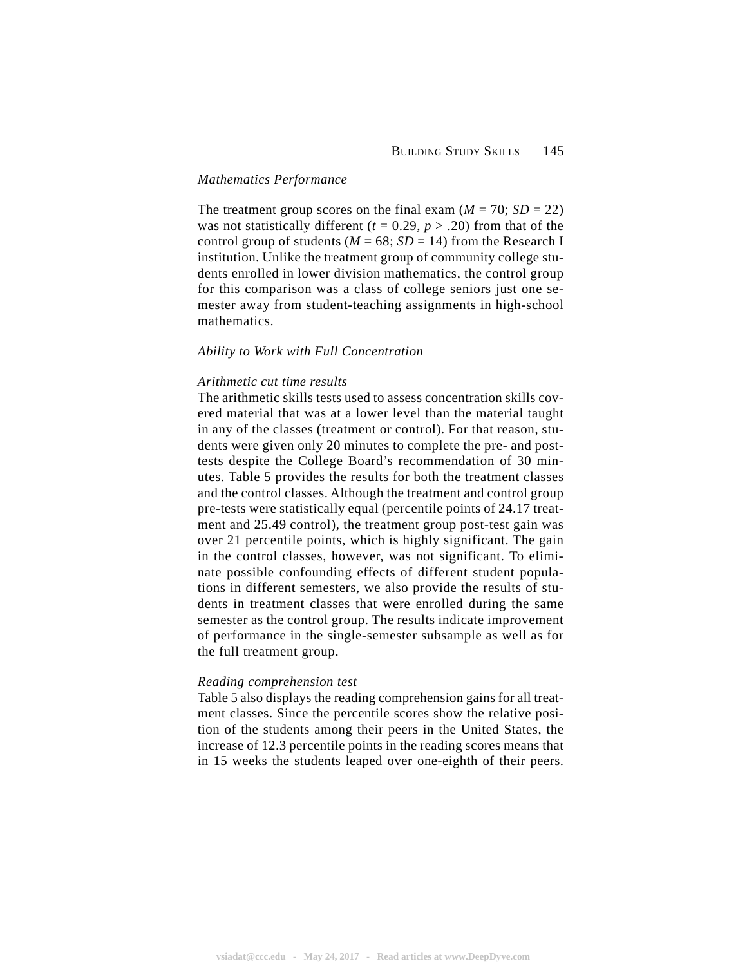## *Mathematics Performance*

The treatment group scores on the final exam  $(M = 70; SD = 22)$ was not statistically different ( $t = 0.29$ ,  $p > .20$ ) from that of the control group of students ( $M = 68$ ;  $SD = 14$ ) from the Research I institution. Unlike the treatment group of community college students enrolled in lower division mathematics, the control group for this comparison was a class of college seniors just one semester away from student-teaching assignments in high-school mathematics.

#### *Ability to Work with Full Concentration*

## *Arithmetic cut time results*

The arithmetic skills tests used to assess concentration skills covered material that was at a lower level than the material taught in any of the classes (treatment or control). For that reason, students were given only 20 minutes to complete the pre- and posttests despite the College Board's recommendation of 30 minutes. Table 5 provides the results for both the treatment classes and the control classes. Although the treatment and control group pre-tests were statistically equal (percentile points of 24.17 treatment and 25.49 control), the treatment group post-test gain was over 21 percentile points, which is highly significant. The gain in the control classes, however, was not significant. To eliminate possible confounding effects of different student populations in different semesters, we also provide the results of students in treatment classes that were enrolled during the same semester as the control group. The results indicate improvement of performance in the single-semester subsample as well as for the full treatment group.

#### *Reading comprehension test*

Table 5 also displays the reading comprehension gains for all treatment classes. Since the percentile scores show the relative position of the students among their peers in the United States, the increase of 12.3 percentile points in the reading scores means that in 15 weeks the students leaped over one-eighth of their peers.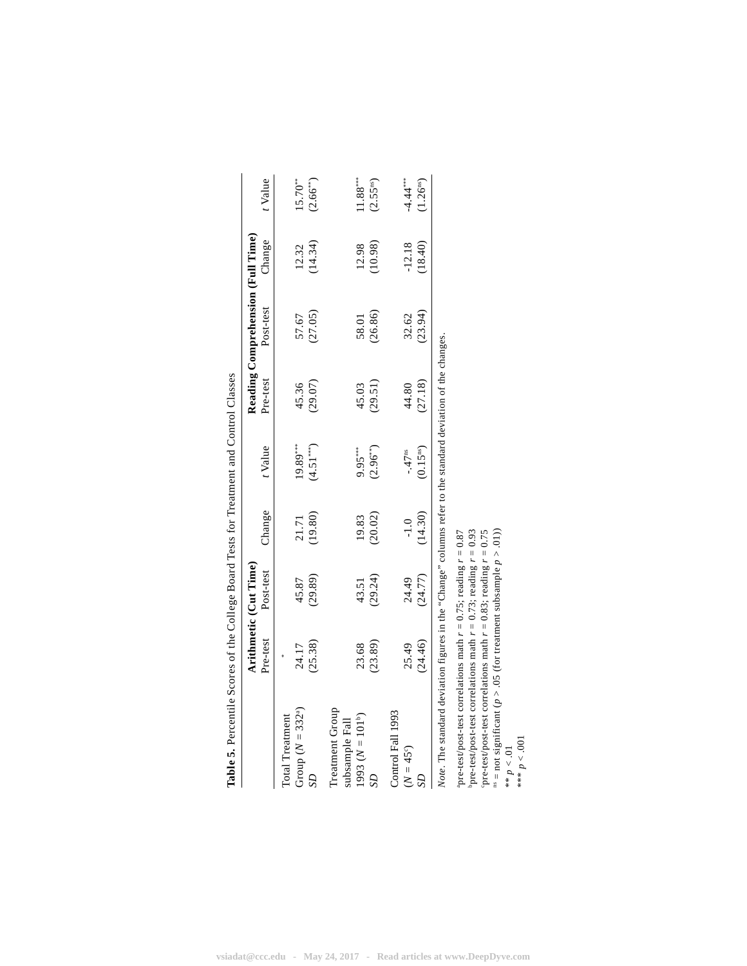|                                                                                                              |                  | Arithmetic (Cut Time) |                    |                     |          | Reading Comprehension (Full Time) |                    |               |
|--------------------------------------------------------------------------------------------------------------|------------------|-----------------------|--------------------|---------------------|----------|-----------------------------------|--------------------|---------------|
|                                                                                                              | Pre-test         | Post-test             | Change             | t Value             | Pre-test | Post-test                         | Change             | $t$ Value     |
| <b>Total Treatment</b>                                                                                       |                  |                       |                    |                     |          |                                   |                    |               |
| Group $(N = 332^{\circ})$                                                                                    |                  | 45.87                 |                    | $19.89***$          | 45.36    |                                   |                    | $15.70***$    |
| SD                                                                                                           | 24.17<br>(25.38) | (29.89)               | $21.71$<br>(19.80) | $(4.51***)$         | (29.07)  | 57.67<br>(27.05)                  | $12.32$<br>(14.34) | $(2.66^{**})$ |
| <b>Treatment Group</b>                                                                                       |                  |                       |                    |                     |          |                                   |                    |               |
| $1993 (N = 101b)$<br>subsample Fall                                                                          | 23.68            | 43.51                 | 19.83              | $9.95***$           | 45.03    | 58.01                             | 12.98              | $1.88***$     |
| $\mathcal{L}$                                                                                                | (23.89)          | (29.24)               | (20.02)            | $(2.96^{**})$       | (29.51)  | (26.86)                           | (10.98)            | $(2.55^{ns})$ |
| Control Fall 1993                                                                                            |                  |                       |                    |                     |          |                                   |                    |               |
| $(N = 45^{\circ})$                                                                                           | 25.49            | 24.49                 | $-1.0$             | $-47$ <sup>ns</sup> | 44.80    | 32.62                             | $-12.18$           | $-4.44$       |
| $^{5D}$                                                                                                      | (24.46)          | (24.77)               | (14.30)            | $(0.15^{ns})$       | (27.18)  | (23.94)                           | (18.40)            | $(1.26^{ns})$ |
| Note. The standard deviation figures in the "Change" columns refer to the standard deviation of the changes. |                  |                       |                    |                     |          |                                   |                    |               |

Table 5. Percentile Scores of the College Board Tests for Treatment and Control Classes **Table 5.** Percentile Scores of the College Board Tests for Treatment and Control Classes

pre-test/post-test correlations math  $r = 0.75$ ; reading  $r = 0.87$ <br>pre-test/post-test correlations math  $r = 0.73$ ; reading  $r = 0.93$ <br>pre-test/post-test correlations math  $r = 0.83$ ; reading  $r = 0.75$  $m =$  not significant ( $p > .05$  (for treatment subsample  $p > .01$ )) <sup>3</sup>pre-test/post-test correlations math  $r = 0.75$ ; reading  $r = 0.87$ <br><sup>5</sup>pre-test/post-test correlations math  $r = 0.73$ ; reading  $r = 0.93$ <br><sup>4</sup>pre-test/post-test correlations math  $r = 0.83$ ; reading  $r = 0.75$ <br><sup>36</sup> = not sig

 $1001 > d$  \*\*\*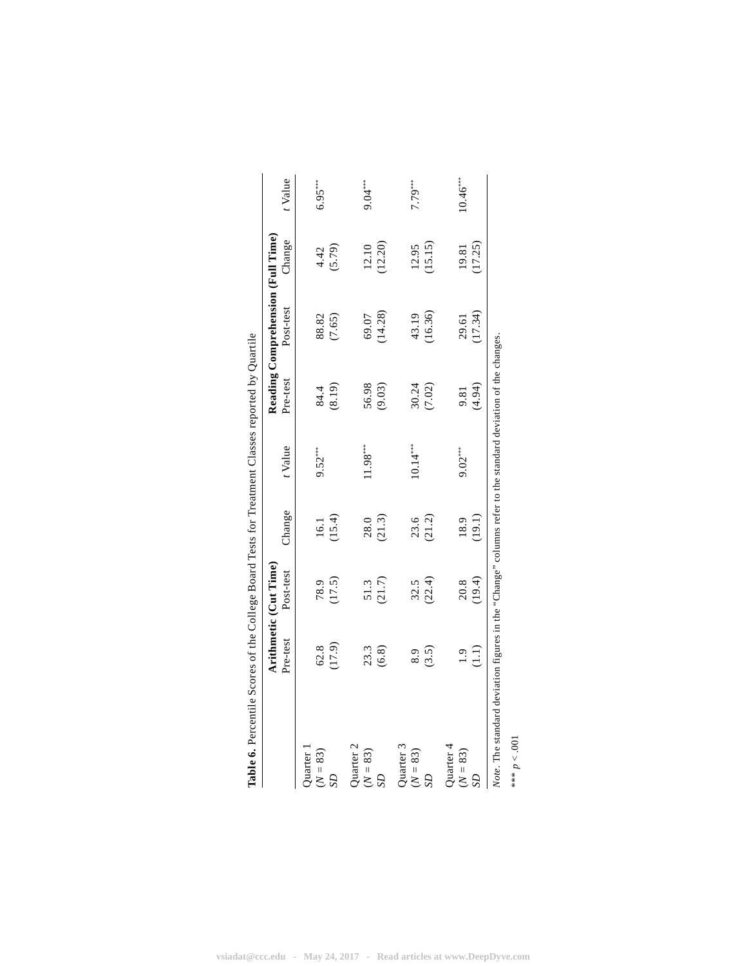| Quarter 1            |                  | Arithmetic (Cut Time) |                  |            |                    | Reading Comprehension (Full Time) |                  |            |
|----------------------|------------------|-----------------------|------------------|------------|--------------------|-----------------------------------|------------------|------------|
|                      | Pre-test         | Post-test             | Change           | t Value    | Pre-test           | Post-test                         | Change           | t Value    |
|                      |                  |                       |                  |            |                    |                                   |                  |            |
| $(N = 83)$           |                  |                       | 16.1             | $9.52***$  |                    | 88.82                             |                  | $6.95***$  |
| SD                   | $62.8$<br>(17.9) | $78.9$<br>(17.5)      | (15.4)           |            | $84.4$<br>$(8.19)$ | (7.65)                            | $4.42$<br>(5.79) |            |
| Quarter <sub>2</sub> |                  |                       |                  |            |                    |                                   |                  |            |
| $(N = 83)$           | 23.3             |                       | 28.0             | $11.98***$ | 56.98              | 69.07                             | 12.10            | $9.04***$  |
| SD                   | (6.8)            | $51.3$<br>(21.7)      | (21.3)           |            | (9.03)             | (14.28)                           | (12.20)          |            |
| Quarter 3            |                  |                       |                  |            |                    |                                   |                  |            |
| $(N = 83)$           | 8.9              |                       |                  | $10.14***$ | 30.24              | 43.19                             | 12.95            | 7.79***    |
| $\overline{S}$       | (3.5)            | $32.5$<br>(22.4)      | $23.6$<br>(21.2) |            | (7.02)             | (16.36)                           | (15.15)          |            |
| Quarter 4            |                  |                       |                  |            |                    |                                   |                  |            |
| $(N = 83)$           | $\frac{1}{2}$    |                       | 18.9             | $9.02***$  | 9.81               | 29.61                             | 19.81            | $10.46***$ |
|                      | (1.1)            | $20.8$<br>(19.4)      | (19.1)           |            | (4.94)             | (17.34)                           | (17.25)          |            |

Table 6. Percentile Scores of the College Board Tests for Treatment Classes reported by Quartile **Table 6.** Percentile Scores of the College Board Tests for Treatment Classes reported by Quartile

 $100^{\circ} > d_{***}$  $1001 > d$  \*\*\*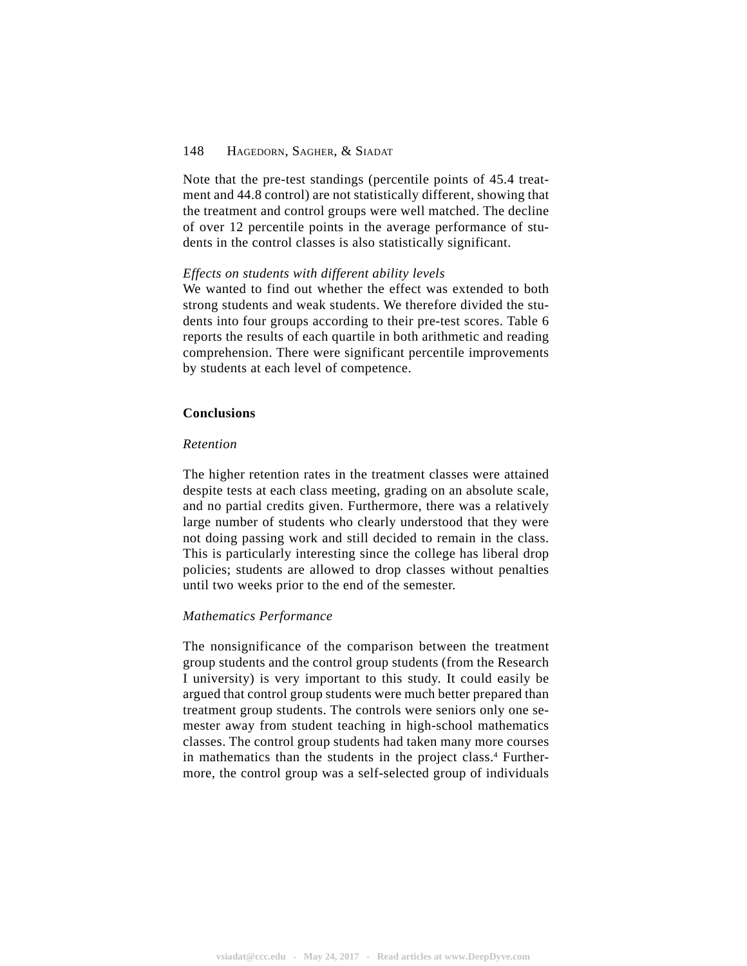Note that the pre-test standings (percentile points of 45.4 treatment and 44.8 control) are not statistically different, showing that the treatment and control groups were well matched. The decline of over 12 percentile points in the average performance of students in the control classes is also statistically significant.

## *Effects on students with different ability levels*

We wanted to find out whether the effect was extended to both strong students and weak students. We therefore divided the students into four groups according to their pre-test scores. Table 6 reports the results of each quartile in both arithmetic and reading comprehension. There were significant percentile improvements by students at each level of competence.

# **Conclusions**

#### *Retention*

The higher retention rates in the treatment classes were attained despite tests at each class meeting, grading on an absolute scale, and no partial credits given. Furthermore, there was a relatively large number of students who clearly understood that they were not doing passing work and still decided to remain in the class. This is particularly interesting since the college has liberal drop policies; students are allowed to drop classes without penalties until two weeks prior to the end of the semester.

# *Mathematics Performance*

The nonsignificance of the comparison between the treatment group students and the control group students (from the Research I university) is very important to this study. It could easily be argued that control group students were much better prepared than treatment group students. The controls were seniors only one semester away from student teaching in high-school mathematics classes. The control group students had taken many more courses in mathematics than the students in the project class.<sup>4</sup> Furthermore, the control group was a self-selected group of individuals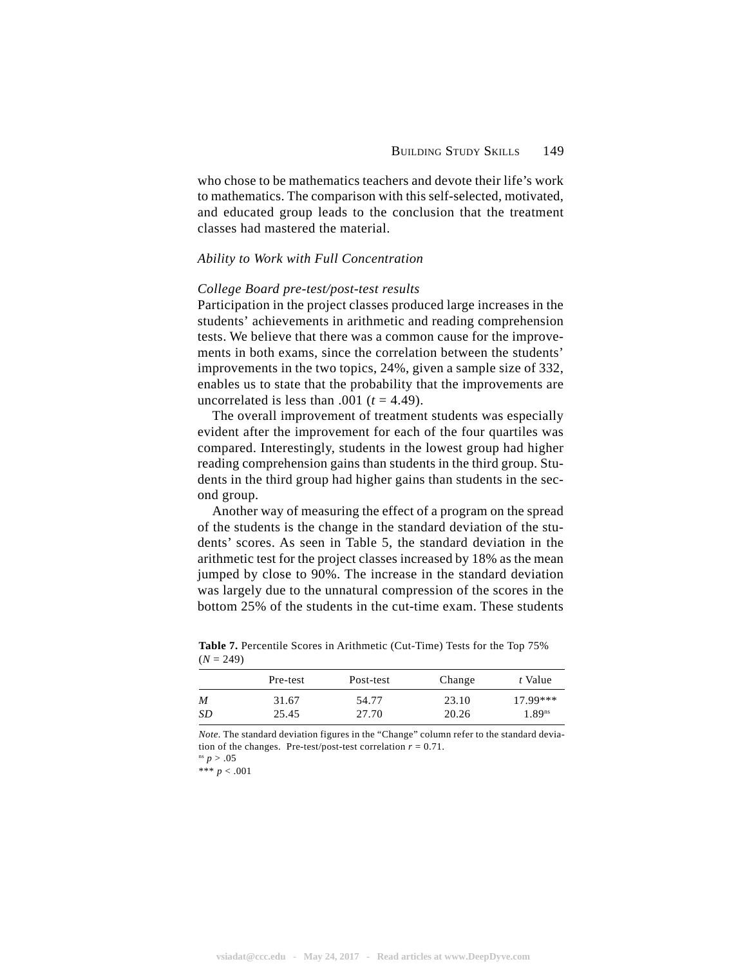who chose to be mathematics teachers and devote their life's work to mathematics. The comparison with this self-selected, motivated, and educated group leads to the conclusion that the treatment classes had mastered the material.

#### *Ability to Work with Full Concentration*

#### *College Board pre-test/post-test results*

Participation in the project classes produced large increases in the students' achievements in arithmetic and reading comprehension tests. We believe that there was a common cause for the improvements in both exams, since the correlation between the students' improvements in the two topics, 24%, given a sample size of 332, enables us to state that the probability that the improvements are uncorrelated is less than .001 ( $t = 4.49$ ).

The overall improvement of treatment students was especially evident after the improvement for each of the four quartiles was compared. Interestingly, students in the lowest group had higher reading comprehension gains than students in the third group. Students in the third group had higher gains than students in the second group.

Another way of measuring the effect of a program on the spread of the students is the change in the standard deviation of the students' scores. As seen in Table 5, the standard deviation in the arithmetic test for the project classes increased by 18% as the mean jumped by close to 90%. The increase in the standard deviation was largely due to the unnatural compression of the scores in the bottom 25% of the students in the cut-time exam. These students

**Table 7.** Percentile Scores in Arithmetic (Cut-Time) Tests for the Top 75%  $(N = 249)$ 

|    | Pre-test | Post-test | Change | t Value     |
|----|----------|-----------|--------|-------------|
| M  | 31.67    | 54.77     | 23.10  | $17.99***$  |
| SD | 25.45    | 27.70     | 20.26  | $1.89^{ns}$ |

*Note*. The standard deviation figures in the "Change" column refer to the standard deviation of the changes. Pre-test/post-test correlation  $r = 0.71$ .

ns *p* > .05

\*\*\* *p* < .001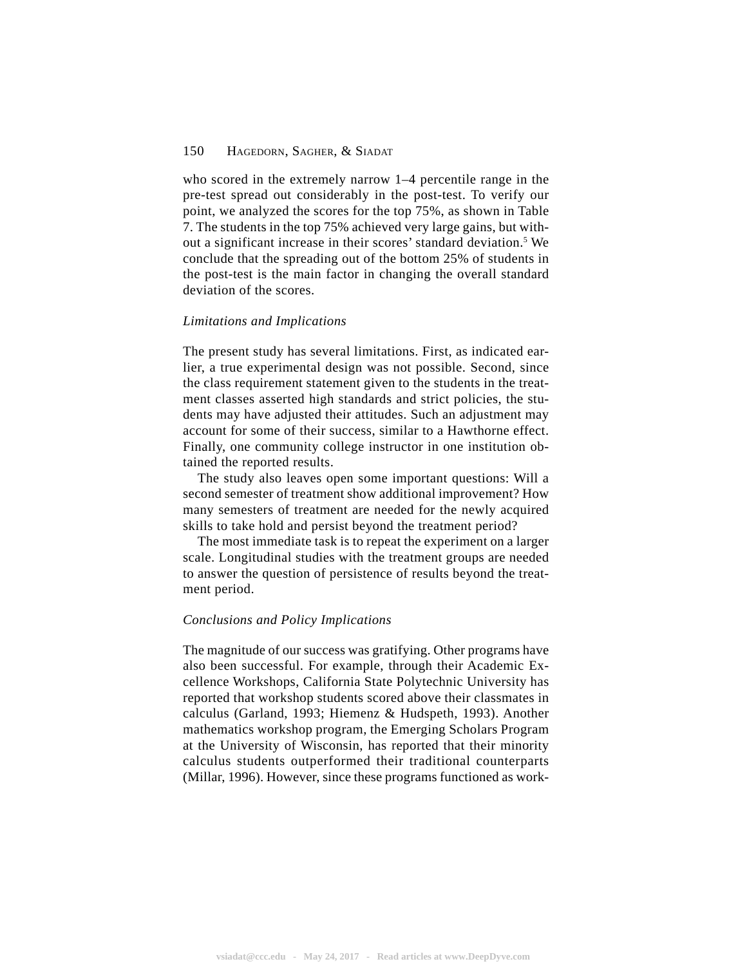who scored in the extremely narrow 1–4 percentile range in the pre-test spread out considerably in the post-test. To verify our point, we analyzed the scores for the top 75%, as shown in Table 7. The students in the top 75% achieved very large gains, but without a significant increase in their scores' standard deviation.<sup>5</sup> We conclude that the spreading out of the bottom 25% of students in the post-test is the main factor in changing the overall standard deviation of the scores.

#### *Limitations and Implications*

The present study has several limitations. First, as indicated earlier, a true experimental design was not possible. Second, since the class requirement statement given to the students in the treatment classes asserted high standards and strict policies, the students may have adjusted their attitudes. Such an adjustment may account for some of their success, similar to a Hawthorne effect. Finally, one community college instructor in one institution obtained the reported results.

The study also leaves open some important questions: Will a second semester of treatment show additional improvement? How many semesters of treatment are needed for the newly acquired skills to take hold and persist beyond the treatment period?

The most immediate task is to repeat the experiment on a larger scale. Longitudinal studies with the treatment groups are needed to answer the question of persistence of results beyond the treatment period.

# *Conclusions and Policy Implications*

The magnitude of our success was gratifying. Other programs have also been successful. For example, through their Academic Excellence Workshops, California State Polytechnic University has reported that workshop students scored above their classmates in calculus (Garland, 1993; Hiemenz & Hudspeth, 1993). Another mathematics workshop program, the Emerging Scholars Program at the University of Wisconsin, has reported that their minority calculus students outperformed their traditional counterparts (Millar, 1996). However, since these programs functioned as work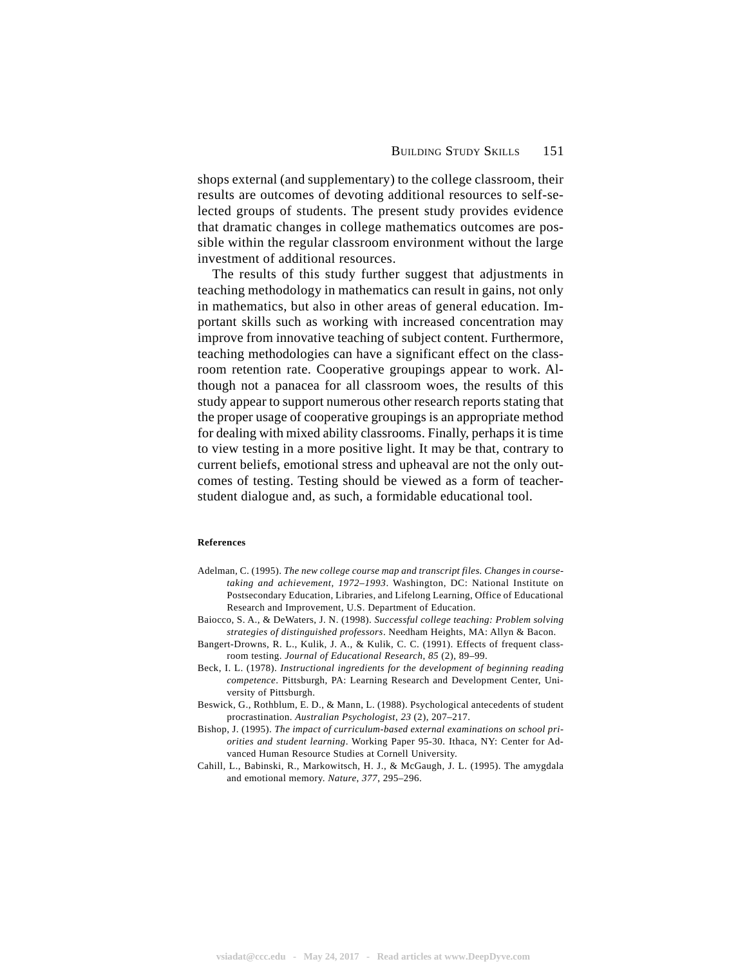shops external (and supplementary) to the college classroom, their results are outcomes of devoting additional resources to self-selected groups of students. The present study provides evidence that dramatic changes in college mathematics outcomes are possible within the regular classroom environment without the large investment of additional resources.

The results of this study further suggest that adjustments in teaching methodology in mathematics can result in gains, not only in mathematics, but also in other areas of general education. Important skills such as working with increased concentration may improve from innovative teaching of subject content. Furthermore, teaching methodologies can have a significant effect on the classroom retention rate. Cooperative groupings appear to work. Although not a panacea for all classroom woes, the results of this study appear to support numerous other research reports stating that the proper usage of cooperative groupings is an appropriate method for dealing with mixed ability classrooms. Finally, perhaps it is time to view testing in a more positive light. It may be that, contrary to current beliefs, emotional stress and upheaval are not the only outcomes of testing. Testing should be viewed as a form of teacherstudent dialogue and, as such, a formidable educational tool.

#### **References**

- Adelman, C. (1995). *The new college course map and transcript files. Changes in coursetaking and achievement, 1972–1993*. Washington, DC: National Institute on Postsecondary Education, Libraries, and Lifelong Learning, Office of Educational Research and Improvement, U.S. Department of Education.
- Baiocco, S. A., & DeWaters, J. N. (1998). *Successful college teaching: Problem solving strategies of distinguished professors*. Needham Heights, MA: Allyn & Bacon.
- Bangert-Drowns, R. L., Kulik, J. A., & Kulik, C. C. (1991). Effects of frequent classroom testing. *Journal of Educational Research*, *85* (2), 89–99.
- Beck, I. L. (1978). *Instructional ingredients for the development of beginning reading competence*. Pittsburgh, PA: Learning Research and Development Center, University of Pittsburgh.
- Beswick, G., Rothblum, E. D., & Mann, L. (1988). Psychological antecedents of student procrastination. *Australian Psychologist*, *23* (2), 207–217.
- Bishop, J. (1995). *The impact of curriculum-based external examinations on school priorities and student learning*. Working Paper 95-30. Ithaca, NY: Center for Advanced Human Resource Studies at Cornell University.
- Cahill, L., Babinski, R., Markowitsch, H. J., & McGaugh, J. L. (1995). The amygdala and emotional memory. *Nature*, *377*, 295–296.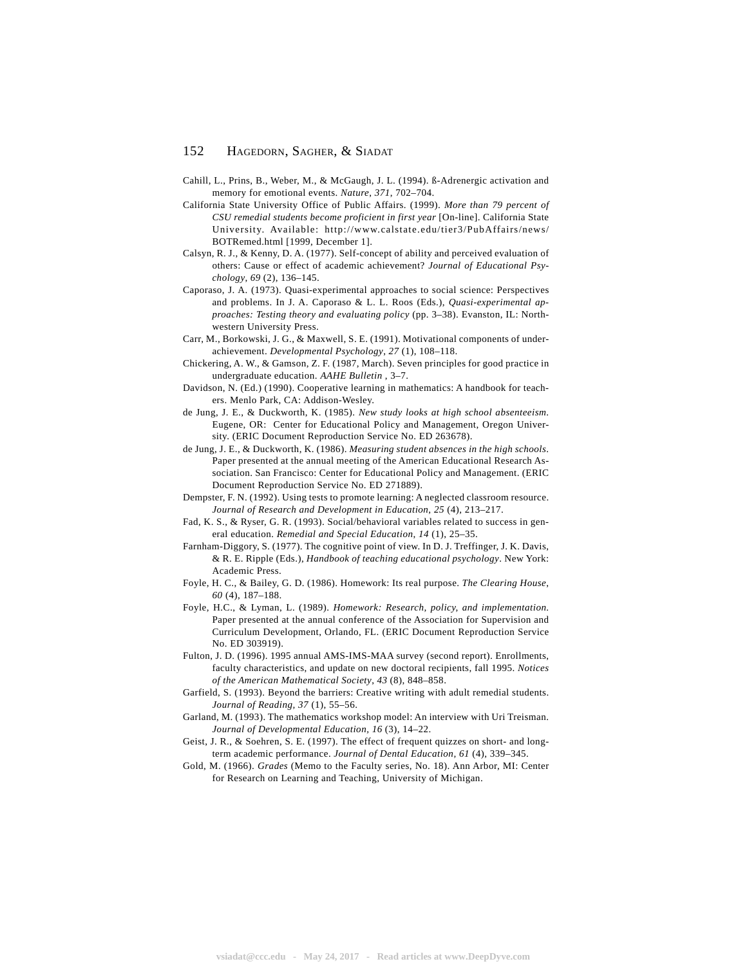- Cahill, L., Prins, B., Weber, M., & McGaugh, J. L. (1994). ß-Adrenergic activation and memory for emotional events. *Nature*, *371*, 702–704.
- California State University Office of Public Affairs. (1999). *More than 79 percent of CSU remedial students become proficient in first year* [On-line]. California State University. Available: http://www.calstate.edu/tier3/PubAffairs/news/ BOTRemed.html [1999, December 1].
- Calsyn, R. J., & Kenny, D. A. (1977). Self-concept of ability and perceived evaluation of others: Cause or effect of academic achievement? *Journal of Educational Psychology*, *69* (2), 136–145.
- Caporaso, J. A. (1973). Quasi-experimental approaches to social science: Perspectives and problems. In J. A. Caporaso & L. L. Roos (Eds.), *Quasi-experimental approaches: Testing theory and evaluating policy* (pp. 3–38). Evanston, IL: Northwestern University Press.
- Carr, M., Borkowski, J. G., & Maxwell, S. E. (1991). Motivational components of underachievement. *Developmental Psychology*, *27* (1), 108–118.
- Chickering, A. W., & Gamson, Z. F. (1987, March). Seven principles for good practice in undergraduate education. *AAHE Bulletin* , 3–7.
- Davidson, N. (Ed.) (1990). Cooperative learning in mathematics: A handbook for teachers. Menlo Park, CA: Addison-Wesley.
- de Jung, J. E., & Duckworth, K. (1985). *New study looks at high school absenteeism*. Eugene, OR: Center for Educational Policy and Management, Oregon University. (ERIC Document Reproduction Service No. ED 263678).
- de Jung, J. E., & Duckworth, K. (1986). *Measuring student absences in the high schools*. Paper presented at the annual meeting of the American Educational Research Association. San Francisco: Center for Educational Policy and Management. (ERIC Document Reproduction Service No. ED 271889).
- Dempster, F. N. (1992). Using tests to promote learning: A neglected classroom resource. *Journal of Research and Development in Education*, *25* (4), 213–217.
- Fad, K. S., & Ryser, G. R. (1993). Social/behavioral variables related to success in general education. *Remedial and Special Education*, *14* (1), 25–35.
- Farnham-Diggory, S. (1977). The cognitive point of view. In D. J. Treffinger, J. K. Davis, & R. E. Ripple (Eds.), *Handbook of teaching educational psychology*. New York: Academic Press.
- Foyle, H. C., & Bailey, G. D. (1986). Homework: Its real purpose. *The Clearing House*, *60* (4), 187–188.
- Foyle, H.C., & Lyman, L. (1989). *Homework: Research, policy, and implementation*. Paper presented at the annual conference of the Association for Supervision and Curriculum Development, Orlando, FL. (ERIC Document Reproduction Service No. ED 303919).
- Fulton, J. D. (1996). 1995 annual AMS-IMS-MAA survey (second report). Enrollments, faculty characteristics, and update on new doctoral recipients, fall 1995. *Notices of the American Mathematical Society*, *43* (8), 848–858.
- Garfield, S. (1993). Beyond the barriers: Creative writing with adult remedial students. *Journal of Reading, 37* (1), 55–56.
- Garland, M. (1993). The mathematics workshop model: An interview with Uri Treisman. *Journal of Developmental Education, 16* (3), 14–22.
- Geist, J. R., & Soehren, S. E. (1997). The effect of frequent quizzes on short- and longterm academic performance. *Journal of Dental Education, 61* (4), 339–345.
- Gold, M. (1966). *Grades* (Memo to the Faculty series, No. 18). Ann Arbor, MI: Center for Research on Learning and Teaching, University of Michigan.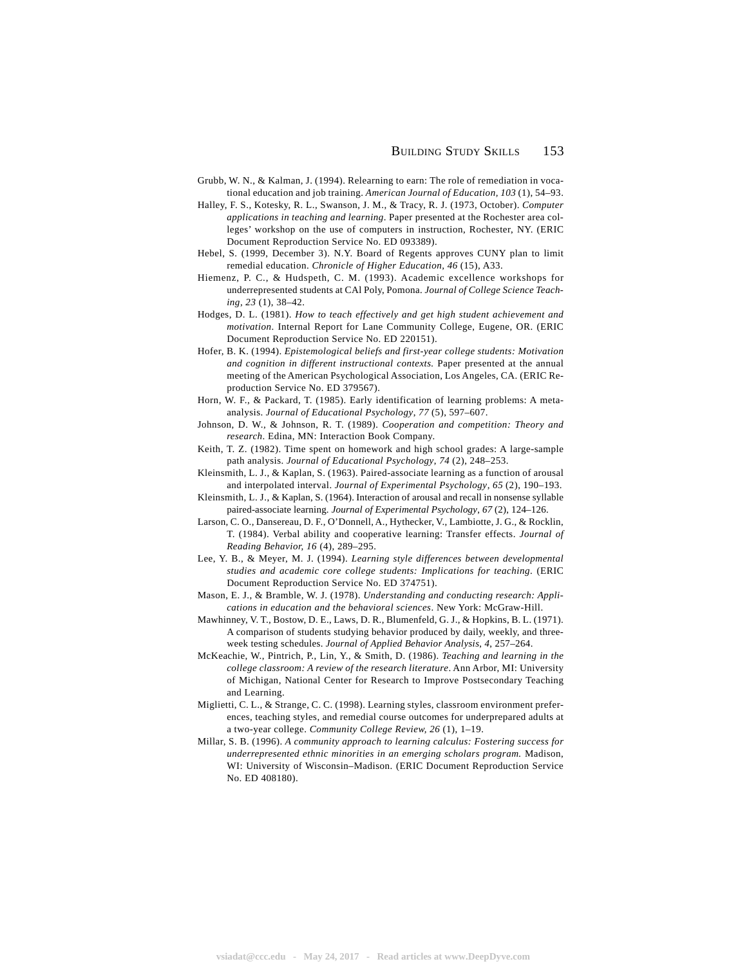- Grubb, W. N., & Kalman, J. (1994). Relearning to earn: The role of remediation in vocational education and job training. *American Journal of Education, 103* (1), 54–93.
- Halley, F. S., Kotesky, R. L., Swanson, J. M., & Tracy, R. J. (1973, October). *Computer applications in teaching and learning*. Paper presented at the Rochester area colleges' workshop on the use of computers in instruction, Rochester, NY. (ERIC Document Reproduction Service No. ED 093389).
- Hebel, S. (1999, December 3). N.Y. Board of Regents approves CUNY plan to limit remedial education. *Chronicle of Higher Education, 46* (15)*,* A33.
- Hiemenz, P. C., & Hudspeth, C. M. (1993). Academic excellence workshops for underrepresented students at CAl Poly, Pomona. *Journal of College Science Teaching, 23* (1), 38–42.
- Hodges, D. L. (1981). *How to teach effectively and get high student achievement and motivation*. Internal Report for Lane Community College, Eugene, OR. (ERIC Document Reproduction Service No. ED 220151).
- Hofer, B. K. (1994). *Epistemological beliefs and first-year college students: Motivation and cognition in different instructional contexts.* Paper presented at the annual meeting of the American Psychological Association, Los Angeles, CA. (ERIC Reproduction Service No. ED 379567).
- Horn, W. F., & Packard, T. (1985). Early identification of learning problems: A metaanalysis. *Journal of Educational Psychology*, *77* (5), 597–607.
- Johnson, D. W., & Johnson, R. T. (1989). *Cooperation and competition: Theory and research*. Edina, MN: Interaction Book Company.
- Keith, T. Z. (1982). Time spent on homework and high school grades: A large-sample path analysis. *Journal of Educational Psychology*, *74* (2), 248–253.
- Kleinsmith, L. J., & Kaplan, S. (1963). Paired-associate learning as a function of arousal and interpolated interval. *Journal of Experimental Psychology*, *65* (2), 190–193.
- Kleinsmith, L. J., & Kaplan, S. (1964). Interaction of arousal and recall in nonsense syllable paired-associate learning. *Journal of Experimental Psychology*, *67* (2), 124–126.
- Larson, C. O., Dansereau, D. F., O'Donnell, A., Hythecker, V., Lambiotte, J. G., & Rocklin, T. (1984). Verbal ability and cooperative learning: Transfer effects. *Journal of Reading Behavior, 16* (4), 289–295.
- Lee, Y. B., & Meyer, M. J. (1994). *Learning style differences between developmental studies and academic core college students: Implications for teaching*. (ERIC Document Reproduction Service No. ED 374751).
- Mason, E. J., & Bramble, W. J. (1978). *Understanding and conducting research: Applications in education and the behavioral sciences*. New York: McGraw-Hill.
- Mawhinney, V. T., Bostow, D. E., Laws, D. R., Blumenfeld, G. J., & Hopkins, B. L. (1971). A comparison of students studying behavior produced by daily, weekly, and threeweek testing schedules. *Journal of Applied Behavior Analysis*, *4*, 257–264.
- McKeachie, W., Pintrich, P., Lin, Y., & Smith, D. (1986). *Teaching and learning in the college classroom: A review of the research literature*. Ann Arbor, MI: University of Michigan, National Center for Research to Improve Postsecondary Teaching and Learning.
- Miglietti, C. L., & Strange, C. C. (1998). Learning styles, classroom environment preferences, teaching styles, and remedial course outcomes for underprepared adults at a two-year college. *Community College Review, 26* (1), 1–19.
- Millar, S. B. (1996). *A community approach to learning calculus: Fostering success for underrepresented ethnic minorities in an emerging scholars program.* Madison, WI: University of Wisconsin–Madison. (ERIC Document Reproduction Service No. ED 408180).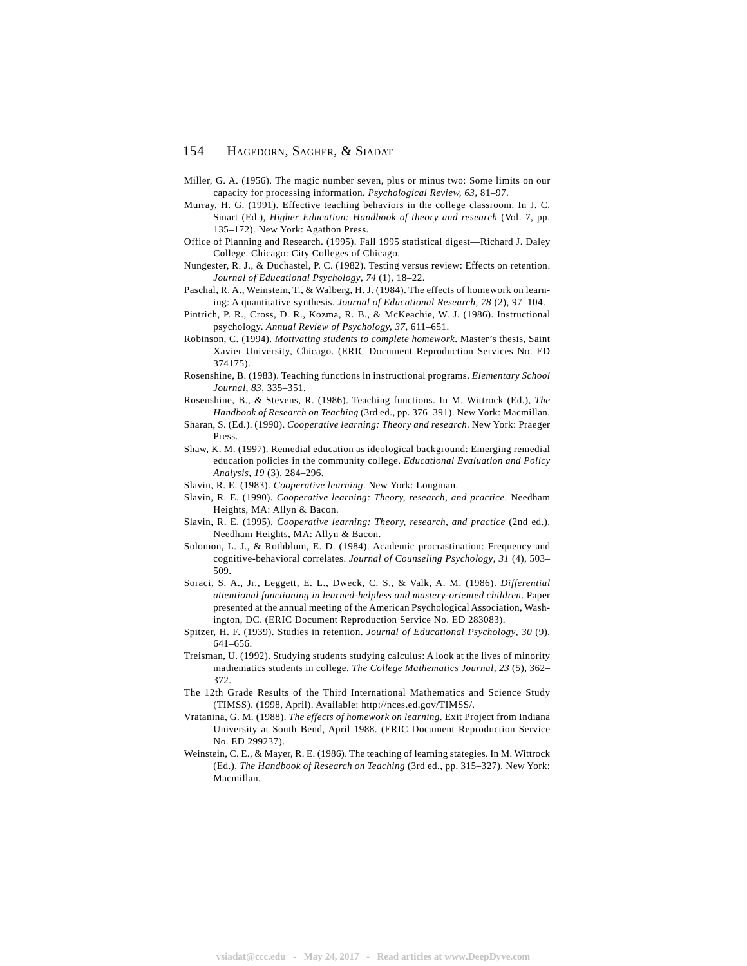- Miller, G. A. (1956). The magic number seven, plus or minus two: Some limits on our capacity for processing information. *Psychological Review, 63*, 81–97.
- Murray, H. G. (1991). Effective teaching behaviors in the college classroom. In J. C. Smart (Ed.), *Higher Education: Handbook of theory and research* (Vol. 7, pp. 135–172). New York: Agathon Press.
- Office of Planning and Research. (1995). Fall 1995 statistical digest—Richard J. Daley College. Chicago: City Colleges of Chicago.
- Nungester, R. J., & Duchastel, P. C. (1982). Testing versus review: Effects on retention. *Journal of Educational Psychology*, *74* (1), 18–22.
- Paschal, R. A., Weinstein, T., & Walberg, H. J. (1984). The effects of homework on learning: A quantitative synthesis. *Journal of Educational Research*, *78* (2), 97–104.
- Pintrich, P. R., Cross, D. R., Kozma, R. B., & McKeachie, W. J. (1986). Instructional psychology. *Annual Review of Psychology, 37*, 611–651.
- Robinson, C. (1994). *Motivating students to complete homework*. Master's thesis, Saint Xavier University, Chicago. (ERIC Document Reproduction Services No. ED 374175).
- Rosenshine, B. (1983). Teaching functions in instructional programs. *Elementary School Journal, 83*, 335–351.
- Rosenshine, B., & Stevens, R. (1986). Teaching functions. In M. Wittrock (Ed.), *The Handbook of Research on Teaching* (3rd ed., pp. 376–391). New York: Macmillan.
- Sharan, S. (Ed.). (1990). *Cooperative learning: Theory and research*. New York: Praeger Press.
- Shaw, K. M. (1997). Remedial education as ideological background: Emerging remedial education policies in the community college. *Educational Evaluation and Policy Analysis, 19* (3), 284–296.
- Slavin, R. E. (1983). *Cooperative learning*. New York: Longman.
- Slavin, R. E. (1990). *Cooperative learning: Theory, research, and practice*. Needham Heights, MA: Allyn & Bacon.
- Slavin, R. E. (1995). *Cooperative learning: Theory, research, and practice* (2nd ed.). Needham Heights, MA: Allyn & Bacon.
- Solomon, L. J., & Rothblum, E. D. (1984). Academic procrastination: Frequency and cognitive-behavioral correlates. *Journal of Counseling Psychology*, *31* (4), 503– 509.
- Soraci, S. A., Jr., Leggett, E. L., Dweck, C. S., & Valk, A. M. (1986). *Differential attentional functioning in learned-helpless and mastery-oriented children*. Paper presented at the annual meeting of the American Psychological Association, Washington, DC. (ERIC Document Reproduction Service No. ED 283083).
- Spitzer, H. F. (1939). Studies in retention. *Journal of Educational Psychology*, *30* (9), 641–656.
- Treisman, U. (1992). Studying students studying calculus: A look at the lives of minority mathematics students in college. *The College Mathematics Journal, 23* (5), 362– 372.
- The 12th Grade Results of the Third International Mathematics and Science Study (TIMSS). (1998, April). Available: http://nces.ed.gov/TIMSS/.
- Vratanina, G. M. (1988). *The effects of homework on learning*. Exit Project from Indiana University at South Bend, April 1988. (ERIC Document Reproduction Service No. ED 299237).
- Weinstein, C. E., & Mayer, R. E. (1986). The teaching of learning stategies. In M. Wittrock (Ed.), *The Handbook of Research on Teaching* (3rd ed., pp. 315–327). New York: Macmillan.